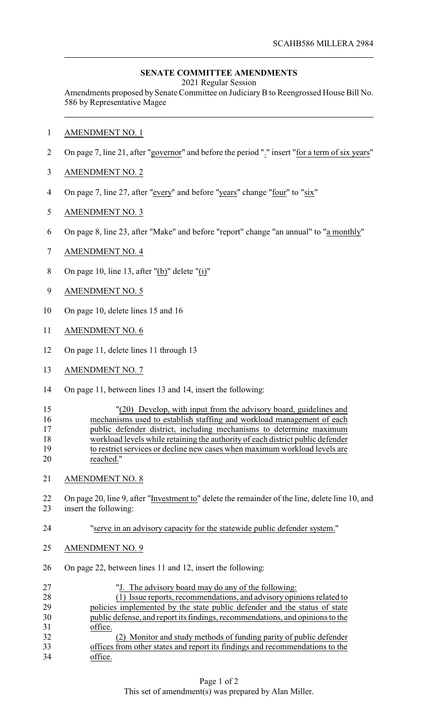## **SENATE COMMITTEE AMENDMENTS**

2021 Regular Session

Amendments proposed by Senate Committee on Judiciary B to Reengrossed House Bill No. 586 by Representative Magee

- AMENDMENT NO. 1
- 2 On page 7, line 21, after "governor" and before the period "." insert "for a term of six years"
- AMENDMENT NO. 2
- On page 7, line 27, after "every" and before "years" change "four" to "six"
- AMENDMENT NO. 3
- On page 8, line 23, after "Make" and before "report" change "an annual" to "a monthly"
- AMENDMENT NO. 4
- On page 10, line 13, after "(b)" delete "(i)"
- AMENDMENT NO. 5
- On page 10, delete lines 15 and 16
- AMENDMENT NO. 6
- On page 11, delete lines 11 through 13
- AMENDMENT NO. 7
- On page 11, between lines 13 and 14, insert the following:

| 15 | "(20) Develop, with input from the advisory board, guidelines and              |
|----|--------------------------------------------------------------------------------|
| 16 | mechanisms used to establish staffing and workload management of each          |
| 17 | public defender district, including mechanisms to determine maximum            |
| 18 | workload levels while retaining the authority of each district public defender |
| 19 | to restrict services or decline new cases when maximum workload levels are     |
| 20 | reached."                                                                      |

- AMENDMENT NO. 8
- On page 20, line 9, after "Investment to" delete the remainder of the line, delete line 10, and insert the following:
- "serve in an advisory capacity for the statewide public defender system."
- AMENDMENT NO. 9
- On page 22, between lines 11 and 12, insert the following:

| 27 | "J. The advisory board may do any of the following:                           |
|----|-------------------------------------------------------------------------------|
| 28 | (1) Issue reports, recommendations, and advisory opinions related to          |
| 29 | policies implemented by the state public defender and the status of state     |
| 30 | public defense, and report its findings, recommendations, and opinions to the |
| 31 | office.                                                                       |
| 32 | (2) Monitor and study methods of funding parity of public defender            |
| 33 | offices from other states and report its findings and recommendations to the  |
| 34 | office.                                                                       |